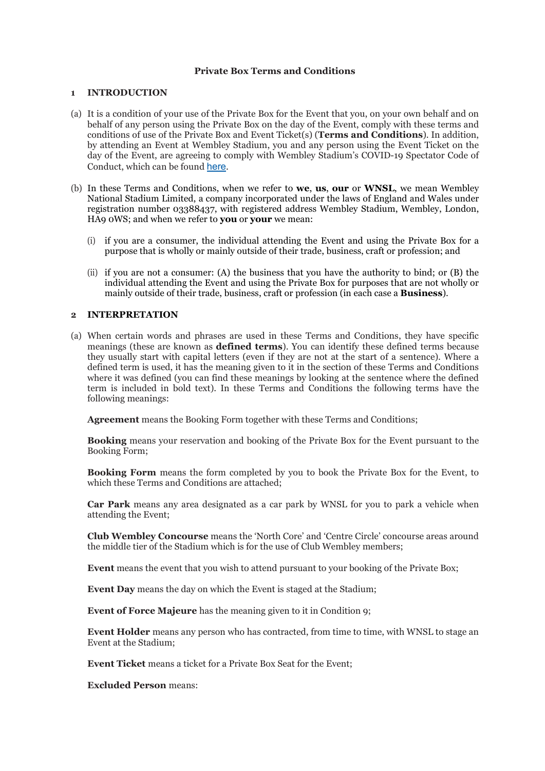# **Private Box Terms and Conditions**

### **1 INTRODUCTION**

- (a) It is a condition of your use of the Private Box for the Event that you, on your own behalf and on behalf of any person using the Private Box on the day of the Event, comply with these terms and conditions of use of the Private Box and Event Ticket(s) (**Terms and Conditions**). In addition, by attending an Event at Wembley Stadium, you and any person using the Event Ticket on the day of the Event, are agreeing to comply with Wembley Stadium's COVID-19 Spectator Code of Conduct, which can be found [here](http://ticketingcontent.thefa.com/Public/Spectator-Code-of-Conduct).
- (b) In these Terms and Conditions, when we refer to **we**, **us**, **our** or **WNSL**, we mean Wembley National Stadium Limited, a company incorporated under the laws of England and Wales under registration number 03388437, with registered address Wembley Stadium, Wembley, London, HA9 0WS; and when we refer to **you** or **your** we mean:
	- (i) if you are a consumer, the individual attending the Event and using the Private Box for a purpose that is wholly or mainly outside of their trade, business, craft or profession; and
	- (ii) if you are not a consumer: (A) the business that you have the authority to bind; or (B) the individual attending the Event and using the Private Box for purposes that are not wholly or mainly outside of their trade, business, craft or profession (in each case a **Business**).

### **2 INTERPRETATION**

(a) When certain words and phrases are used in these Terms and Conditions, they have specific meanings (these are known as **defined terms**). You can identify these defined terms because they usually start with capital letters (even if they are not at the start of a sentence). Where a defined term is used, it has the meaning given to it in the section of these Terms and Conditions where it was defined (you can find these meanings by looking at the sentence where the defined term is included in bold text). In these Terms and Conditions the following terms have the following meanings:

**Agreement** means the Booking Form together with these Terms and Conditions;

**Booking** means your reservation and booking of the Private Box for the Event pursuant to the Booking Form;

**Booking Form** means the form completed by you to book the Private Box for the Event, to which these Terms and Conditions are attached;

**Car Park** means any area designated as a car park by WNSL for you to park a vehicle when attending the Event;

**Club Wembley Concourse** means the 'North Core' and 'Centre Circle' concourse areas around the middle tier of the Stadium which is for the use of Club Wembley members;

**Event** means the event that you wish to attend pursuant to your booking of the Private Box;

**Event Day** means the day on which the Event is staged at the Stadium;

**Event of Force Majeure** has the meaning given to it in Condition 9;

**Event Holder** means any person who has contracted, from time to time, with WNSL to stage an Event at the Stadium;

**Event Ticket** means a ticket for a Private Box Seat for the Event;

**Excluded Person** means: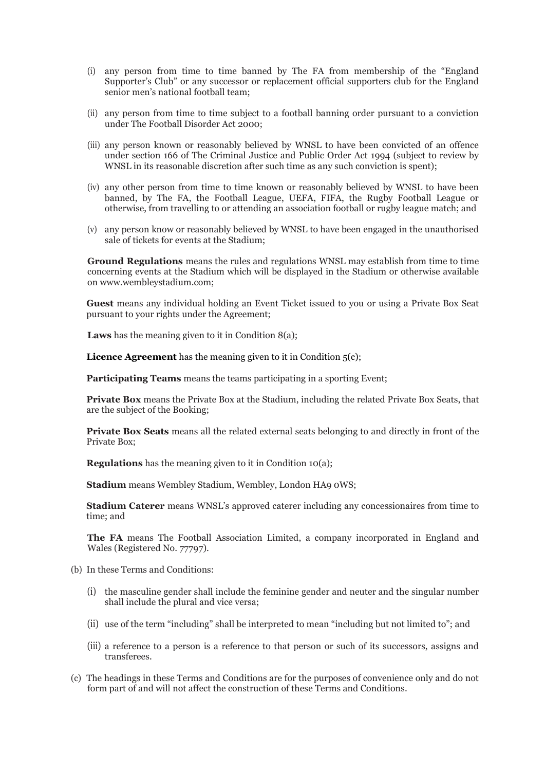- (i) any person from time to time banned by The FA from membership of the "England Supporter's Club" or any successor or replacement official supporters club for the England senior men's national football team;
- (ii) any person from time to time subject to a football banning order pursuant to a conviction under The Football Disorder Act 2000;
- (iii) any person known or reasonably believed by WNSL to have been convicted of an offence under section 166 of The Criminal Justice and Public Order Act 1994 (subject to review by WNSL in its reasonable discretion after such time as any such conviction is spent);
- (iv) any other person from time to time known or reasonably believed by WNSL to have been banned, by The FA, the Football League, UEFA, FIFA, the Rugby Football League or otherwise, from travelling to or attending an association football or rugby league match; and
- (v) any person know or reasonably believed by WNSL to have been engaged in the unauthorised sale of tickets for events at the Stadium;

**Ground Regulations** means the rules and regulations WNSL may establish from time to time concerning events at the Stadium which will be displayed in the Stadium or otherwise available on www.wembleystadium.com;

**Guest** means any individual holding an Event Ticket issued to you or using a Private Box Seat pursuant to your rights under the Agreement;

**Laws** has the meaning given to it in Condition 8(a);

**Licence Agreement** has the meaning given to it in Condition  $5(c)$ ;

**Participating Teams** means the teams participating in a sporting Event;

**Private Box** means the Private Box at the Stadium, including the related Private Box Seats, that are the subject of the Booking;

**Private Box Seats** means all the related external seats belonging to and directly in front of the Private Box;

**Regulations** has the meaning given to it in Condition 10(a);

**Stadium** means Wembley Stadium, Wembley, London HA9 0WS;

**Stadium Caterer** means WNSL's approved caterer including any concessionaires from time to time; and

**The FA** means The Football Association Limited, a company incorporated in England and Wales (Registered No. 77797).

- (b) In these Terms and Conditions:
	- (i) the masculine gender shall include the feminine gender and neuter and the singular number shall include the plural and vice versa;
	- (ii) use of the term "including" shall be interpreted to mean "including but not limited to"; and
	- (iii) a reference to a person is a reference to that person or such of its successors, assigns and transferees.
- (c) The headings in these Terms and Conditions are for the purposes of convenience only and do not form part of and will not affect the construction of these Terms and Conditions.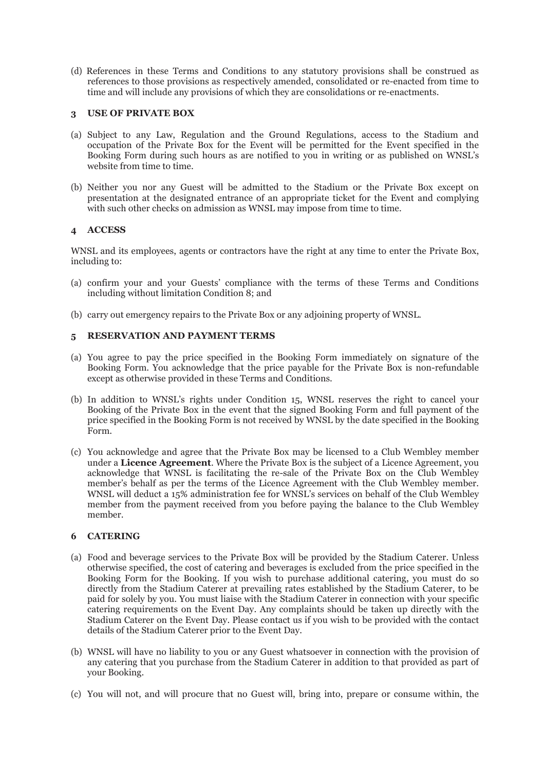(d) References in these Terms and Conditions to any statutory provisions shall be construed as references to those provisions as respectively amended, consolidated or re-enacted from time to time and will include any provisions of which they are consolidations or re-enactments.

# **3 USE OF PRIVATE BOX**

- (a) Subject to any Law, Regulation and the Ground Regulations, access to the Stadium and occupation of the Private Box for the Event will be permitted for the Event specified in the Booking Form during such hours as are notified to you in writing or as published on WNSL's website from time to time.
- (b) Neither you nor any Guest will be admitted to the Stadium or the Private Box except on presentation at the designated entrance of an appropriate ticket for the Event and complying with such other checks on admission as WNSL may impose from time to time.

# **4 ACCESS**

WNSL and its employees, agents or contractors have the right at any time to enter the Private Box, including to:

- (a) confirm your and your Guests' compliance with the terms of these Terms and Conditions including without limitation Condition 8; and
- (b) carry out emergency repairs to the Private Box or any adjoining property of WNSL.

# **5 RESERVATION AND PAYMENT TERMS**

- (a) You agree to pay the price specified in the Booking Form immediately on signature of the Booking Form. You acknowledge that the price payable for the Private Box is non-refundable except as otherwise provided in these Terms and Conditions.
- (b) In addition to WNSL's rights under Condition 15, WNSL reserves the right to cancel your Booking of the Private Box in the event that the signed Booking Form and full payment of the price specified in the Booking Form is not received by WNSL by the date specified in the Booking Form.
- (c) You acknowledge and agree that the Private Box may be licensed to a Club Wembley member under a **Licence Agreement**. Where the Private Box is the subject of a Licence Agreement, you acknowledge that WNSL is facilitating the re-sale of the Private Box on the Club Wembley member's behalf as per the terms of the Licence Agreement with the Club Wembley member. WNSL will deduct a 15% administration fee for WNSL's services on behalf of the Club Wembley member from the payment received from you before paying the balance to the Club Wembley member.

# **6 CATERING**

- (a) Food and beverage services to the Private Box will be provided by the Stadium Caterer. Unless otherwise specified, the cost of catering and beverages is excluded from the price specified in the Booking Form for the Booking. If you wish to purchase additional catering, you must do so directly from the Stadium Caterer at prevailing rates established by the Stadium Caterer, to be paid for solely by you. You must liaise with the Stadium Caterer in connection with your specific catering requirements on the Event Day. Any complaints should be taken up directly with the Stadium Caterer on the Event Day. Please contact us if you wish to be provided with the contact details of the Stadium Caterer prior to the Event Day.
- (b) WNSL will have no liability to you or any Guest whatsoever in connection with the provision of any catering that you purchase from the Stadium Caterer in addition to that provided as part of your Booking.
- (c) You will not, and will procure that no Guest will, bring into, prepare or consume within, the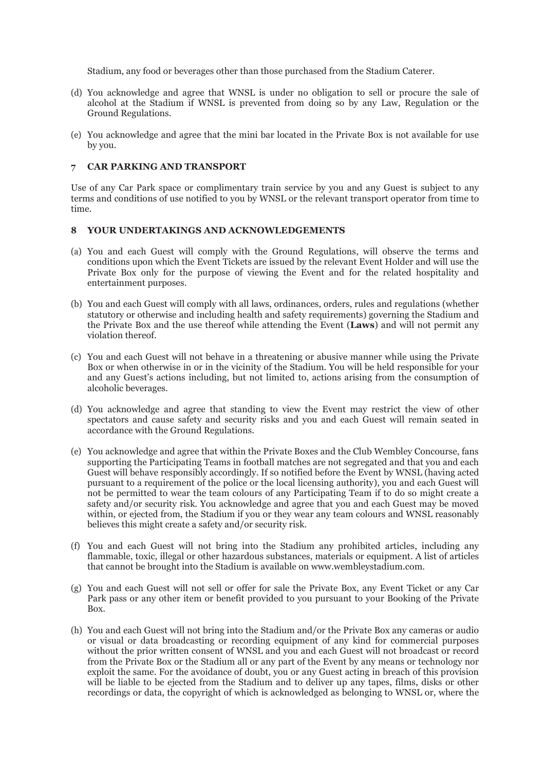Stadium, any food or beverages other than those purchased from the Stadium Caterer.

- (d) You acknowledge and agree that WNSL is under no obligation to sell or procure the sale of alcohol at the Stadium if WNSL is prevented from doing so by any Law, Regulation or the Ground Regulations.
- (e) You acknowledge and agree that the mini bar located in the Private Box is not available for use by you.

# **7 CAR PARKING AND TRANSPORT**

Use of any Car Park space or complimentary train service by you and any Guest is subject to any terms and conditions of use notified to you by WNSL or the relevant transport operator from time to time.

### **8 YOUR UNDERTAKINGS AND ACKNOWLEDGEMENTS**

- (a) You and each Guest will comply with the Ground Regulations, will observe the terms and conditions upon which the Event Tickets are issued by the relevant Event Holder and will use the Private Box only for the purpose of viewing the Event and for the related hospitality and entertainment purposes.
- (b) You and each Guest will comply with all laws, ordinances, orders, rules and regulations (whether statutory or otherwise and including health and safety requirements) governing the Stadium and the Private Box and the use thereof while attending the Event (**Laws**) and will not permit any violation thereof.
- (c) You and each Guest will not behave in a threatening or abusive manner while using the Private Box or when otherwise in or in the vicinity of the Stadium. You will be held responsible for your and any Guest's actions including, but not limited to, actions arising from the consumption of alcoholic beverages.
- (d) You acknowledge and agree that standing to view the Event may restrict the view of other spectators and cause safety and security risks and you and each Guest will remain seated in accordance with the Ground Regulations.
- (e) You acknowledge and agree that within the Private Boxes and the Club Wembley Concourse, fans supporting the Participating Teams in football matches are not segregated and that you and each Guest will behave responsibly accordingly. If so notified before the Event by WNSL (having acted pursuant to a requirement of the police or the local licensing authority), you and each Guest will not be permitted to wear the team colours of any Participating Team if to do so might create a safety and/or security risk. You acknowledge and agree that you and each Guest may be moved within, or ejected from, the Stadium if you or they wear any team colours and WNSL reasonably believes this might create a safety and/or security risk.
- (f) You and each Guest will not bring into the Stadium any prohibited articles, including any flammable, toxic, illegal or other hazardous substances, materials or equipment. A list of articles that cannot be brought into the Stadium is available on [www.wembleystadium.com.](http://www.wembleystadium.com/)
- (g) You and each Guest will not sell or offer for sale the Private Box, any Event Ticket or any Car Park pass or any other item or benefit provided to you pursuant to your Booking of the Private Box.
- (h) You and each Guest will not bring into the Stadium and/or the Private Box any cameras or audio or visual or data broadcasting or recording equipment of any kind for commercial purposes without the prior written consent of WNSL and you and each Guest will not broadcast or record from the Private Box or the Stadium all or any part of the Event by any means or technology nor exploit the same. For the avoidance of doubt, you or any Guest acting in breach of this provision will be liable to be ejected from the Stadium and to deliver up any tapes, films, disks or other recordings or data, the copyright of which is acknowledged as belonging to WNSL or, where the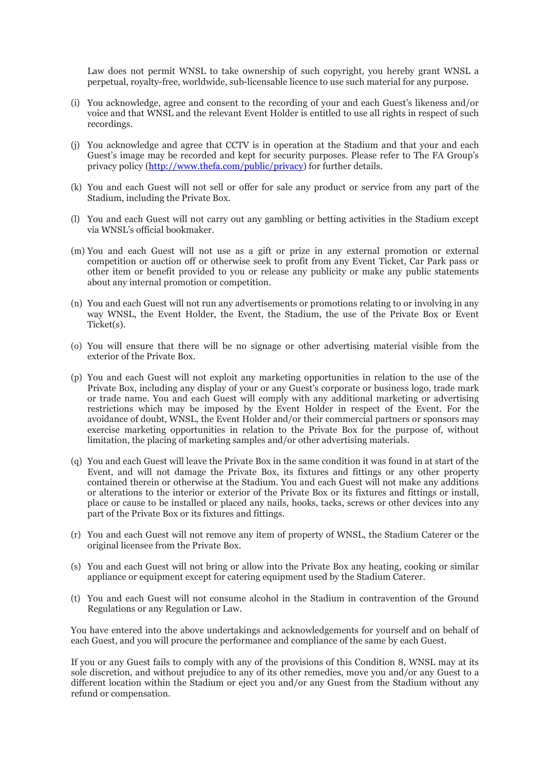Law does not permit WNSL to take ownership of such copyright, you hereby grant WNSL a perpetual, royalty-free, worldwide, sub-licensable licence to use such material for any purpose.

- (i) You acknowledge, agree and consent to the recording of your and each Guest's likeness and/or voice and that WNSL and the relevant Event Holder is entitled to use all rights in respect of such recordings.
- (j) You acknowledge and agree that CCTV is in operation at the Stadium and that your and each Guest's image may be recorded and kept for security purposes. Please refer to The FA Group's privacy policy [\(http://www.thefa.com/public/privacy\)](http://www.thefa.com/public/privacy) for further details.
- (k) You and each Guest will not sell or offer for sale any product or service from any part of the Stadium, including the Private Box.
- (l) You and each Guest will not carry out any gambling or betting activities in the Stadium except via WNSL's official bookmaker.
- (m) You and each Guest will not use as a gift or prize in any external promotion or external competition or auction off or otherwise seek to profit from any Event Ticket, Car Park pass or other item or benefit provided to you or release any publicity or make any public statements about any internal promotion or competition.
- (n) You and each Guest will not run any advertisements or promotions relating to or involving in any way WNSL, the Event Holder, the Event, the Stadium, the use of the Private Box or Event Ticket(s).
- (o) You will ensure that there will be no signage or other advertising material visible from the exterior of the Private Box.
- (p) You and each Guest will not exploit any marketing opportunities in relation to the use of the Private Box, including any display of your or any Guest's corporate or business logo, trade mark or trade name. You and each Guest will comply with any additional marketing or advertising restrictions which may be imposed by the Event Holder in respect of the Event. For the avoidance of doubt, WNSL, the Event Holder and/or their commercial partners or sponsors may exercise marketing opportunities in relation to the Private Box for the purpose of, without limitation, the placing of marketing samples and/or other advertising materials.
- (q) You and each Guest will leave the Private Box in the same condition it was found in at start of the Event, and will not damage the Private Box, its fixtures and fittings or any other property contained therein or otherwise at the Stadium. You and each Guest will not make any additions or alterations to the interior or exterior of the Private Box or its fixtures and fittings or install, place or cause to be installed or placed any nails, hooks, tacks, screws or other devices into any part of the Private Box or its fixtures and fittings.
- (r) You and each Guest will not remove any item of property of WNSL, the Stadium Caterer or the original licensee from the Private Box.
- (s) You and each Guest will not bring or allow into the Private Box any heating, cooking or similar appliance or equipment except for catering equipment used by the Stadium Caterer.
- (t) You and each Guest will not consume alcohol in the Stadium in contravention of the Ground Regulations or any Regulation or Law.

You have entered into the above undertakings and acknowledgements for yourself and on behalf of each Guest, and you will procure the performance and compliance of the same by each Guest.

If you or any Guest fails to comply with any of the provisions of this Condition 8, WNSL may at its sole discretion, and without prejudice to any of its other remedies, move you and/or any Guest to a different location within the Stadium or eject you and/or any Guest from the Stadium without any refund or compensation.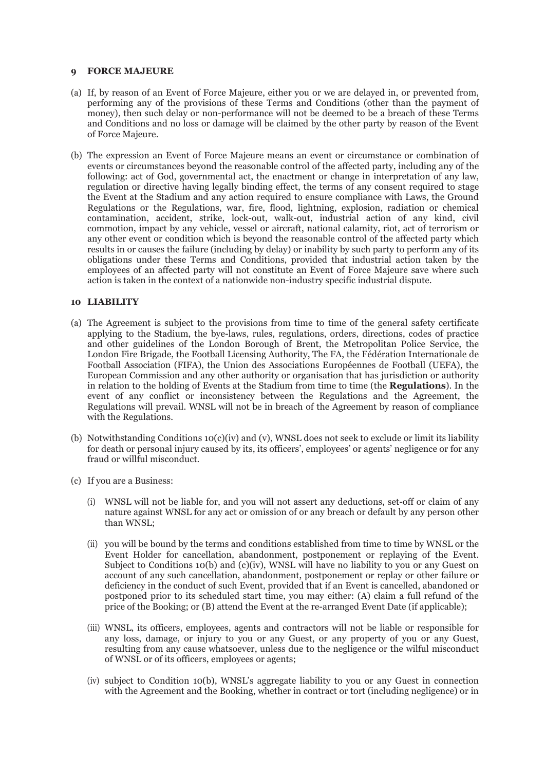### **9 FORCE MAJEURE**

- (a) If, by reason of an Event of Force Majeure, either you or we are delayed in, or prevented from, performing any of the provisions of these Terms and Conditions (other than the payment of money), then such delay or non-performance will not be deemed to be a breach of these Terms and Conditions and no loss or damage will be claimed by the other party by reason of the Event of Force Majeure.
- (b) The expression an Event of Force Majeure means an event or circumstance or combination of events or circumstances beyond the reasonable control of the affected party, including any of the following: act of God, governmental act, the enactment or change in interpretation of any law, regulation or directive having legally binding effect, the terms of any consent required to stage the Event at the Stadium and any action required to ensure compliance with Laws, the Ground Regulations or the Regulations, war, fire, flood, lightning, explosion, radiation or chemical contamination, accident, strike, lock-out, walk-out, industrial action of any kind, civil commotion, impact by any vehicle, vessel or aircraft, national calamity, riot, act of terrorism or any other event or condition which is beyond the reasonable control of the affected party which results in or causes the failure (including by delay) or inability by such party to perform any of its obligations under these Terms and Conditions, provided that industrial action taken by the employees of an affected party will not constitute an Event of Force Majeure save where such action is taken in the context of a nationwide non-industry specific industrial dispute.

# **10 LIABILITY**

- (a) The Agreement is subject to the provisions from time to time of the general safety certificate applying to the Stadium, the bye-laws, rules, regulations, orders, directions, codes of practice and other guidelines of the London Borough of Brent, the Metropolitan Police Service, the London Fire Brigade, the Football Licensing Authority, The FA, the Fédération Internationale de Football Association (FIFA), the Union des Associations Européennes de Football (UEFA), the European Commission and any other authority or organisation that has jurisdiction or authority in relation to the holding of Events at the Stadium from time to time (the **Regulations**). In the event of any conflict or inconsistency between the Regulations and the Agreement, the Regulations will prevail. WNSL will not be in breach of the Agreement by reason of compliance with the Regulations.
- (b) Notwithstanding Conditions  $10(c)(iv)$  and (v), WNSL does not seek to exclude or limit its liability for death or personal injury caused by its, its officers', employees' or agents' negligence or for any fraud or willful misconduct.
- (c) If you are a Business:
	- (i) WNSL will not be liable for, and you will not assert any deductions, set-off or claim of any nature against WNSL for any act or omission of or any breach or default by any person other than WNSL;
	- (ii) you will be bound by the terms and conditions established from time to time by WNSL or the Event Holder for cancellation, abandonment, postponement or replaying of the Event. Subject to Conditions 10(b) and (c)(iv), WNSL will have no liability to you or any Guest on account of any such cancellation, abandonment, postponement or replay or other failure or deficiency in the conduct of such Event, provided that if an Event is cancelled, abandoned or postponed prior to its scheduled start time, you may either: (A) claim a full refund of the price of the Booking; or (B) attend the Event at the re-arranged Event Date (if applicable);
	- (iii) WNSL, its officers, employees, agents and contractors will not be liable or responsible for any loss, damage, or injury to you or any Guest, or any property of you or any Guest, resulting from any cause whatsoever, unless due to the negligence or the wilful misconduct of WNSL or of its officers, employees or agents;
	- (iv) subject to Condition 10(b), WNSL's aggregate liability to you or any Guest in connection with the Agreement and the Booking, whether in contract or tort (including negligence) or in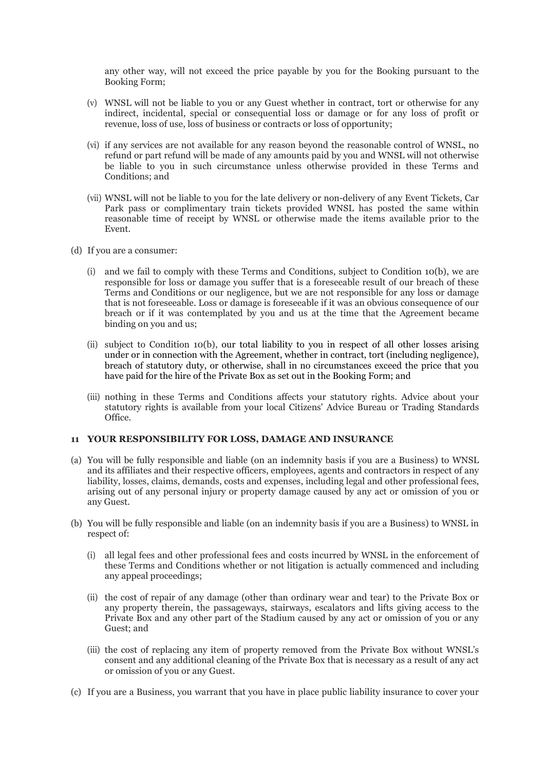any other way, will not exceed the price payable by you for the Booking pursuant to the Booking Form;

- (v) WNSL will not be liable to you or any Guest whether in contract, tort or otherwise for any indirect, incidental, special or consequential loss or damage or for any loss of profit or revenue, loss of use, loss of business or contracts or loss of opportunity;
- (vi) if any services are not available for any reason beyond the reasonable control of WNSL, no refund or part refund will be made of any amounts paid by you and WNSL will not otherwise be liable to you in such circumstance unless otherwise provided in these Terms and Conditions; and
- (vii) WNSL will not be liable to you for the late delivery or non-delivery of any Event Tickets, Car Park pass or complimentary train tickets provided WNSL has posted the same within reasonable time of receipt by WNSL or otherwise made the items available prior to the Event.
- (d) If you are a consumer:
	- (i) and we fail to comply with these Terms and Conditions, subject to Condition 10(b), we are responsible for loss or damage you suffer that is a foreseeable result of our breach of these Terms and Conditions or our negligence, but we are not responsible for any loss or damage that is not foreseeable. Loss or damage is foreseeable if it was an obvious consequence of our breach or if it was contemplated by you and us at the time that the Agreement became binding on you and us;
	- (ii) subject to Condition 10(b), our total liability to you in respect of all other losses arising under or in connection with the Agreement, whether in contract, tort (including negligence), breach of statutory duty, or otherwise, shall in no circumstances exceed the price that you have paid for the hire of the Private Box as set out in the Booking Form; and
	- (iii) nothing in these Terms and Conditions affects your statutory rights. Advice about your statutory rights is available from your local Citizens' Advice Bureau or Trading Standards Office.

### **11 YOUR RESPONSIBILITY FOR LOSS, DAMAGE AND INSURANCE**

- (a) You will be fully responsible and liable (on an indemnity basis if you are a Business) to WNSL and its affiliates and their respective officers, employees, agents and contractors in respect of any liability, losses, claims, demands, costs and expenses, including legal and other professional fees, arising out of any personal injury or property damage caused by any act or omission of you or any Guest.
- (b) You will be fully responsible and liable (on an indemnity basis if you are a Business) to WNSL in respect of:
	- (i) all legal fees and other professional fees and costs incurred by WNSL in the enforcement of these Terms and Conditions whether or not litigation is actually commenced and including any appeal proceedings;
	- (ii) the cost of repair of any damage (other than ordinary wear and tear) to the Private Box or any property therein, the passageways, stairways, escalators and lifts giving access to the Private Box and any other part of the Stadium caused by any act or omission of you or any Guest; and
	- (iii) the cost of replacing any item of property removed from the Private Box without WNSL's consent and any additional cleaning of the Private Box that is necessary as a result of any act or omission of you or any Guest.
- (c) If you are a Business, you warrant that you have in place public liability insurance to cover your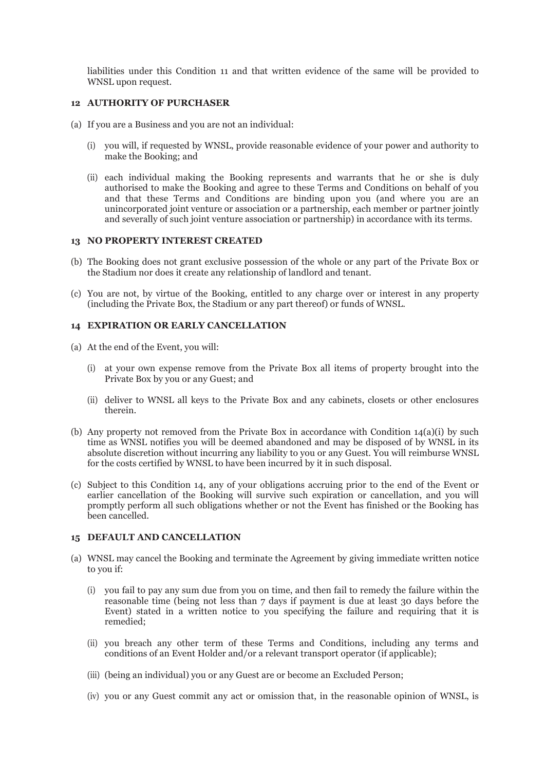liabilities under this Condition 11 and that written evidence of the same will be provided to WNSL upon request.

#### **12 AUTHORITY OF PURCHASER**

- (a) If you are a Business and you are not an individual:
	- (i) you will, if requested by WNSL, provide reasonable evidence of your power and authority to make the Booking; and
	- (ii) each individual making the Booking represents and warrants that he or she is duly authorised to make the Booking and agree to these Terms and Conditions on behalf of you and that these Terms and Conditions are binding upon you (and where you are an unincorporated joint venture or association or a partnership, each member or partner jointly and severally of such joint venture association or partnership) in accordance with its terms.

#### **13 NO PROPERTY INTEREST CREATED**

- (b) The Booking does not grant exclusive possession of the whole or any part of the Private Box or the Stadium nor does it create any relationship of landlord and tenant.
- (c) You are not, by virtue of the Booking, entitled to any charge over or interest in any property (including the Private Box, the Stadium or any part thereof) or funds of WNSL.

### **14 EXPIRATION OR EARLY CANCELLATION**

- (a) At the end of the Event, you will:
	- (i) at your own expense remove from the Private Box all items of property brought into the Private Box by you or any Guest; and
	- (ii) deliver to WNSL all keys to the Private Box and any cabinets, closets or other enclosures therein.
- (b) Any property not removed from the Private Box in accordance with Condition 14(a)(i) by such time as WNSL notifies you will be deemed abandoned and may be disposed of by WNSL in its absolute discretion without incurring any liability to you or any Guest. You will reimburse WNSL for the costs certified by WNSL to have been incurred by it in such disposal.
- (c) Subject to this Condition 14, any of your obligations accruing prior to the end of the Event or earlier cancellation of the Booking will survive such expiration or cancellation, and you will promptly perform all such obligations whether or not the Event has finished or the Booking has been cancelled.

#### **15 DEFAULT AND CANCELLATION**

- (a) WNSL may cancel the Booking and terminate the Agreement by giving immediate written notice to you if:
	- (i) you fail to pay any sum due from you on time, and then fail to remedy the failure within the reasonable time (being not less than 7 days if payment is due at least 30 days before the Event) stated in a written notice to you specifying the failure and requiring that it is remedied;
	- (ii) you breach any other term of these Terms and Conditions, including any terms and conditions of an Event Holder and/or a relevant transport operator (if applicable);
	- (iii) (being an individual) you or any Guest are or become an Excluded Person;
	- (iv) you or any Guest commit any act or omission that, in the reasonable opinion of WNSL, is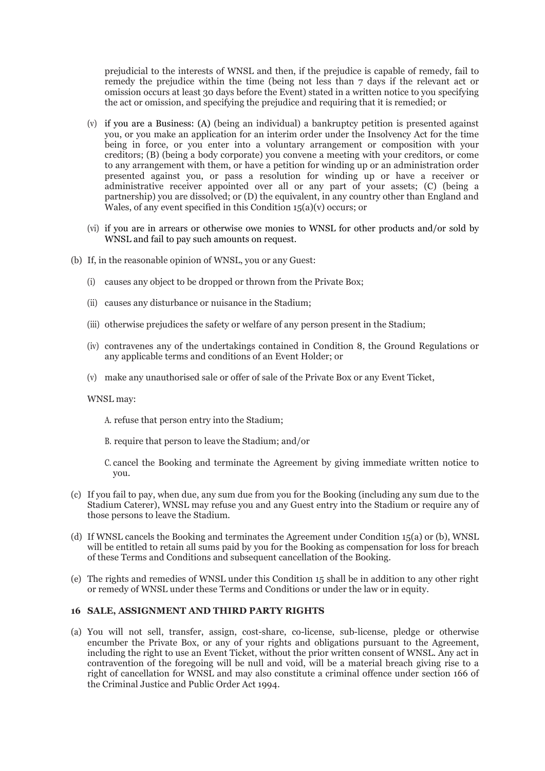prejudicial to the interests of WNSL and then, if the prejudice is capable of remedy, fail to remedy the prejudice within the time (being not less than 7 days if the relevant act or omission occurs at least 30 days before the Event) stated in a written notice to you specifying the act or omission, and specifying the prejudice and requiring that it is remedied; or

- (v) if you are a Business: (A) (being an individual) a bankruptcy petition is presented against you, or you make an application for an interim order under the Insolvency Act for the time being in force, or you enter into a voluntary arrangement or composition with your creditors; (B) (being a body corporate) you convene a meeting with your creditors, or come to any arrangement with them, or have a petition for winding up or an administration order presented against you, or pass a resolution for winding up or have a receiver or administrative receiver appointed over all or any part of your assets; (C) (being a partnership) you are dissolved; or (D) the equivalent, in any country other than England and Wales, of any event specified in this Condition  $15(a)(v)$  occurs; or
- (vi) if you are in arrears or otherwise owe monies to WNSL for other products and/or sold by WNSL and fail to pay such amounts on request.
- (b) If, in the reasonable opinion of WNSL, you or any Guest:
	- (i) causes any object to be dropped or thrown from the Private Box;
	- (ii) causes any disturbance or nuisance in the Stadium;
	- (iii) otherwise prejudices the safety or welfare of any person present in the Stadium;
	- (iv) contravenes any of the undertakings contained in Condition 8, the Ground Regulations or any applicable terms and conditions of an Event Holder; or
	- (v) make any unauthorised sale or offer of sale of the Private Box or any Event Ticket,

### WNSL may:

- A. refuse that person entry into the Stadium;
- B. require that person to leave the Stadium; and/or
- C. cancel the Booking and terminate the Agreement by giving immediate written notice to you.
- (c) If you fail to pay, when due, any sum due from you for the Booking (including any sum due to the Stadium Caterer), WNSL may refuse you and any Guest entry into the Stadium or require any of those persons to leave the Stadium.
- (d) If WNSL cancels the Booking and terminates the Agreement under Condition 15(a) or (b), WNSL will be entitled to retain all sums paid by you for the Booking as compensation for loss for breach of these Terms and Conditions and subsequent cancellation of the Booking.
- (e) The rights and remedies of WNSL under this Condition 15 shall be in addition to any other right or remedy of WNSL under these Terms and Conditions or under the law or in equity.

#### **16 SALE, ASSIGNMENT AND THIRD PARTY RIGHTS**

(a) You will not sell, transfer, assign, cost-share, co-license, sub-license, pledge or otherwise encumber the Private Box, or any of your rights and obligations pursuant to the Agreement, including the right to use an Event Ticket, without the prior written consent of WNSL. Any act in contravention of the foregoing will be null and void, will be a material breach giving rise to a right of cancellation for WNSL and may also constitute a criminal offence under section 166 of the Criminal Justice and Public Order Act 1994.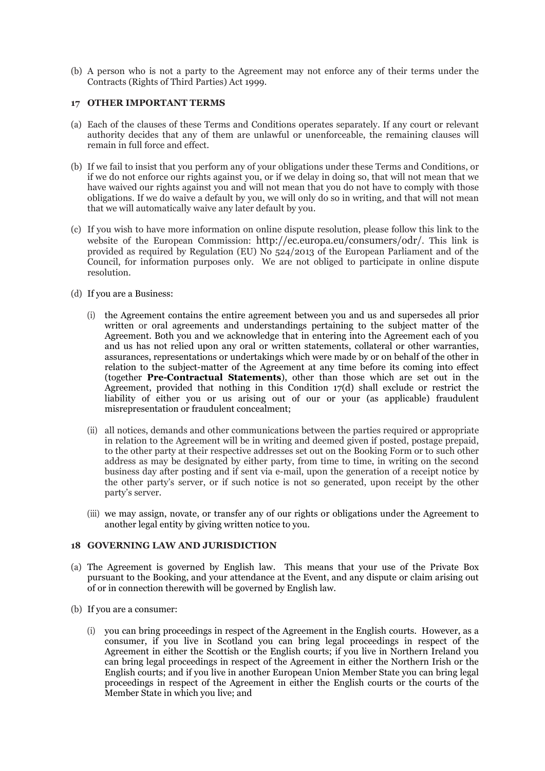(b) A person who is not a party to the Agreement may not enforce any of their terms under the Contracts (Rights of Third Parties) Act 1999.

### **17 OTHER IMPORTANT TERMS**

- (a) Each of the clauses of these Terms and Conditions operates separately. If any court or relevant authority decides that any of them are unlawful or unenforceable, the remaining clauses will remain in full force and effect.
- (b) If we fail to insist that you perform any of your obligations under these Terms and Conditions, or if we do not enforce our rights against you, or if we delay in doing so, that will not mean that we have waived our rights against you and will not mean that you do not have to comply with those obligations. If we do waive a default by you, we will only do so in writing, and that will not mean that we will automatically waive any later default by you.
- (c) If you wish to have more information on online dispute resolution, please follow this link to the website of the European Commission: [http://ec.europa.eu/consumers/odr/.](http://ec.europa.eu/consumers/odr/) This link is provided as required by Regulation (EU) No 524/2013 of the European Parliament and of the Council, for information purposes only. We are not obliged to participate in online dispute resolution.
- (d) If you are a Business:
	- (i) the Agreement contains the entire agreement between you and us and supersedes all prior written or oral agreements and understandings pertaining to the subject matter of the Agreement. Both you and we acknowledge that in entering into the Agreement each of you and us has not relied upon any oral or written statements, collateral or other warranties, assurances, representations or undertakings which were made by or on behalf of the other in relation to the subject-matter of the Agreement at any time before its coming into effect (together **Pre-Contractual Statements**), other than those which are set out in the Agreement, provided that nothing in this Condition  $17(d)$  shall exclude or restrict the liability of either you or us arising out of our or your (as applicable) fraudulent misrepresentation or fraudulent concealment;
	- (ii) all notices, demands and other communications between the parties required or appropriate in relation to the Agreement will be in writing and deemed given if posted, postage prepaid, to the other party at their respective addresses set out on the Booking Form or to such other address as may be designated by either party, from time to time, in writing on the second business day after posting and if sent via e-mail, upon the generation of a receipt notice by the other party's server, or if such notice is not so generated, upon receipt by the other party's server.
	- (iii) we may assign, novate, or transfer any of our rights or obligations under the Agreement to another legal entity by giving written notice to you.

## **18 GOVERNING LAW AND JURISDICTION**

- (a) The Agreement is governed by English law. This means that your use of the Private Box pursuant to the Booking, and your attendance at the Event, and any dispute or claim arising out of or in connection therewith will be governed by English law.
- (b) If you are a consumer:
	- (i) you can bring proceedings in respect of the Agreement in the English courts. However, as a consumer, if you live in Scotland you can bring legal proceedings in respect of the Agreement in either the Scottish or the English courts; if you live in Northern Ireland you can bring legal proceedings in respect of the Agreement in either the Northern Irish or the English courts; and if you live in another European Union Member State you can bring legal proceedings in respect of the Agreement in either the English courts or the courts of the Member State in which you live; and